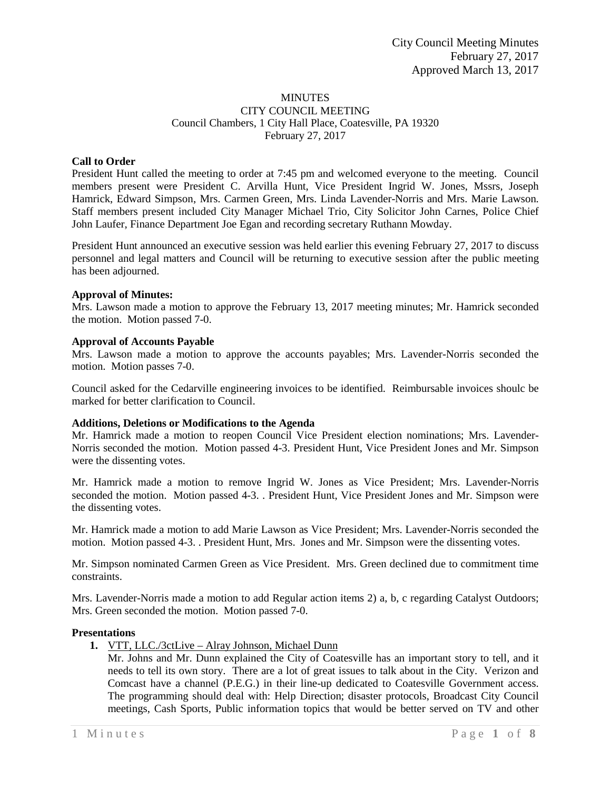#### MINUTES CITY COUNCIL MEETING Council Chambers, 1 City Hall Place, Coatesville, PA 19320 February 27, 2017

## **Call to Order**

President Hunt called the meeting to order at 7:45 pm and welcomed everyone to the meeting. Council members present were President C. Arvilla Hunt, Vice President Ingrid W. Jones, Mssrs, Joseph Hamrick, Edward Simpson, Mrs. Carmen Green, Mrs. Linda Lavender-Norris and Mrs. Marie Lawson. Staff members present included City Manager Michael Trio, City Solicitor John Carnes, Police Chief John Laufer, Finance Department Joe Egan and recording secretary Ruthann Mowday.

President Hunt announced an executive session was held earlier this evening February 27, 2017 to discuss personnel and legal matters and Council will be returning to executive session after the public meeting has been adjourned.

#### **Approval of Minutes:**

Mrs. Lawson made a motion to approve the February 13, 2017 meeting minutes; Mr. Hamrick seconded the motion. Motion passed 7-0.

#### **Approval of Accounts Payable**

Mrs. Lawson made a motion to approve the accounts payables; Mrs. Lavender-Norris seconded the motion. Motion passes 7-0.

Council asked for the Cedarville engineering invoices to be identified. Reimbursable invoices shoulc be marked for better clarification to Council.

## **Additions, Deletions or Modifications to the Agenda**

Mr. Hamrick made a motion to reopen Council Vice President election nominations; Mrs. Lavender-Norris seconded the motion. Motion passed 4-3. President Hunt, Vice President Jones and Mr. Simpson were the dissenting votes.

Mr. Hamrick made a motion to remove Ingrid W. Jones as Vice President; Mrs. Lavender-Norris seconded the motion. Motion passed 4-3. . President Hunt, Vice President Jones and Mr. Simpson were the dissenting votes.

Mr. Hamrick made a motion to add Marie Lawson as Vice President; Mrs. Lavender-Norris seconded the motion. Motion passed 4-3. . President Hunt, Mrs. Jones and Mr. Simpson were the dissenting votes.

Mr. Simpson nominated Carmen Green as Vice President. Mrs. Green declined due to commitment time constraints.

Mrs. Lavender-Norris made a motion to add Regular action items 2) a, b, c regarding Catalyst Outdoors; Mrs. Green seconded the motion. Motion passed 7-0.

#### **Presentations**

- **1.** VTT, LLC./3ctLive Alray Johnson, Michael Dunn
	- Mr. Johns and Mr. Dunn explained the City of Coatesville has an important story to tell, and it needs to tell its own story. There are a lot of great issues to talk about in the City. Verizon and Comcast have a channel (P.E.G.) in their line-up dedicated to Coatesville Government access. The programming should deal with: Help Direction; disaster protocols, Broadcast City Council meetings, Cash Sports, Public information topics that would be better served on TV and other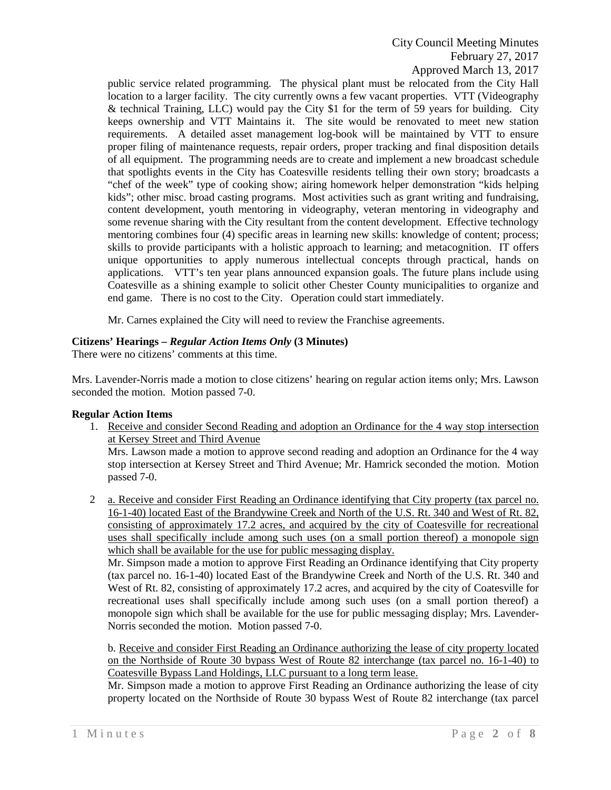City Council Meeting Minutes February 27, 2017 Approved March 13, 2017

public service related programming. The physical plant must be relocated from the City Hall location to a larger facility. The city currently owns a few vacant properties. VTT (Videography & technical Training, LLC) would pay the City \$1 for the term of 59 years for building. City keeps ownership and VTT Maintains it. The site would be renovated to meet new station requirements. A detailed asset management log-book will be maintained by VTT to ensure proper filing of maintenance requests, repair orders, proper tracking and final disposition details of all equipment. The programming needs are to create and implement a new broadcast schedule that spotlights events in the City has Coatesville residents telling their own story; broadcasts a "chef of the week" type of cooking show; airing homework helper demonstration "kids helping kids"; other misc. broad casting programs. Most activities such as grant writing and fundraising, content development, youth mentoring in videography, veteran mentoring in videography and some revenue sharing with the City resultant from the content development. Effective technology mentoring combines four (4) specific areas in learning new skills: knowledge of content; process; skills to provide participants with a holistic approach to learning; and metacognition. IT offers unique opportunities to apply numerous intellectual concepts through practical, hands on applications. VTT's ten year plans announced expansion goals. The future plans include using Coatesville as a shining example to solicit other Chester County municipalities to organize and end game. There is no cost to the City. Operation could start immediately.

Mr. Carnes explained the City will need to review the Franchise agreements.

## **Citizens' Hearings –** *Regular Action Items Only* **(3 Minutes)**

There were no citizens' comments at this time.

Mrs. Lavender-Norris made a motion to close citizens' hearing on regular action items only; Mrs. Lawson seconded the motion. Motion passed 7-0.

## **Regular Action Items**

1. Receive and consider Second Reading and adoption an Ordinance for the 4 way stop intersection at Kersey Street and Third Avenue Mrs. Lawson made a motion to approve second reading and adoption an Ordinance for the 4 way stop intersection at Kersey Street and Third Avenue; Mr. Hamrick seconded the motion. Motion passed 7-0.

2 a. Receive and consider First Reading an Ordinance identifying that City property (tax parcel no. 16-1-40) located East of the Brandywine Creek and North of the U.S. Rt. 340 and West of Rt. 82, consisting of approximately 17.2 acres, and acquired by the city of Coatesville for recreational uses shall specifically include among such uses (on a small portion thereof) a monopole sign which shall be available for the use for public messaging display.

Mr. Simpson made a motion to approve First Reading an Ordinance identifying that City property (tax parcel no. 16-1-40) located East of the Brandywine Creek and North of the U.S. Rt. 340 and West of Rt. 82, consisting of approximately 17.2 acres, and acquired by the city of Coatesville for recreational uses shall specifically include among such uses (on a small portion thereof) a monopole sign which shall be available for the use for public messaging display; Mrs. Lavender-Norris seconded the motion. Motion passed 7-0.

b. Receive and consider First Reading an Ordinance authorizing the lease of city property located on the Northside of Route 30 bypass West of Route 82 interchange (tax parcel no. 16-1-40) to Coatesville Bypass Land Holdings, LLC pursuant to a long term lease.

Mr. Simpson made a motion to approve First Reading an Ordinance authorizing the lease of city property located on the Northside of Route 30 bypass West of Route 82 interchange (tax parcel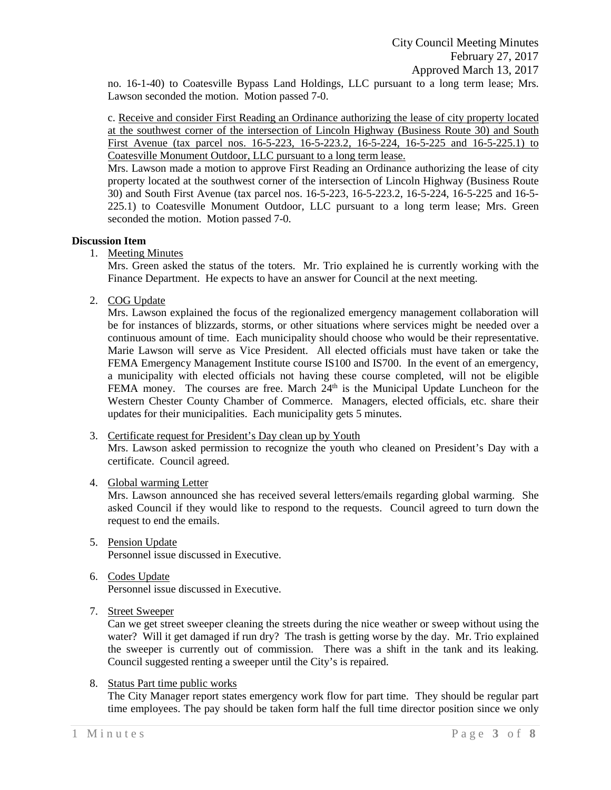no. 16-1-40) to Coatesville Bypass Land Holdings, LLC pursuant to a long term lease; Mrs. Lawson seconded the motion. Motion passed 7-0.

c. Receive and consider First Reading an Ordinance authorizing the lease of city property located at the southwest corner of the intersection of Lincoln Highway (Business Route 30) and South First Avenue (tax parcel nos. 16-5-223, 16-5-223.2, 16-5-224, 16-5-225 and 16-5-225.1) to Coatesville Monument Outdoor, LLC pursuant to a long term lease.

Mrs. Lawson made a motion to approve First Reading an Ordinance authorizing the lease of city property located at the southwest corner of the intersection of Lincoln Highway (Business Route 30) and South First Avenue (tax parcel nos. 16-5-223, 16-5-223.2, 16-5-224, 16-5-225 and 16-5- 225.1) to Coatesville Monument Outdoor, LLC pursuant to a long term lease; Mrs. Green seconded the motion. Motion passed 7-0.

## **Discussion Item**

1. Meeting Minutes

Mrs. Green asked the status of the toters. Mr. Trio explained he is currently working with the Finance Department. He expects to have an answer for Council at the next meeting.

2. COG Update

Mrs. Lawson explained the focus of the regionalized emergency management collaboration will be for instances of blizzards, storms, or other situations where services might be needed over a continuous amount of time. Each municipality should choose who would be their representative. Marie Lawson will serve as Vice President. All elected officials must have taken or take the FEMA Emergency Management Institute course IS100 and IS700. In the event of an emergency, a municipality with elected officials not having these course completed, will not be eligible FEMA money. The courses are free. March  $24<sup>th</sup>$  is the Municipal Update Luncheon for the Western Chester County Chamber of Commerce. Managers, elected officials, etc. share their updates for their municipalities. Each municipality gets 5 minutes.

- 3. Certificate request for President's Day clean up by Youth Mrs. Lawson asked permission to recognize the youth who cleaned on President's Day with a certificate. Council agreed.
- 4. Global warming Letter

Mrs. Lawson announced she has received several letters/emails regarding global warming. She asked Council if they would like to respond to the requests. Council agreed to turn down the request to end the emails.

- 5. Pension Update Personnel issue discussed in Executive.
- 6. Codes Update Personnel issue discussed in Executive.
- 7. Street Sweeper

Can we get street sweeper cleaning the streets during the nice weather or sweep without using the water? Will it get damaged if run dry? The trash is getting worse by the day. Mr. Trio explained the sweeper is currently out of commission. There was a shift in the tank and its leaking. Council suggested renting a sweeper until the City's is repaired.

8. Status Part time public works

The City Manager report states emergency work flow for part time. They should be regular part time employees. The pay should be taken form half the full time director position since we only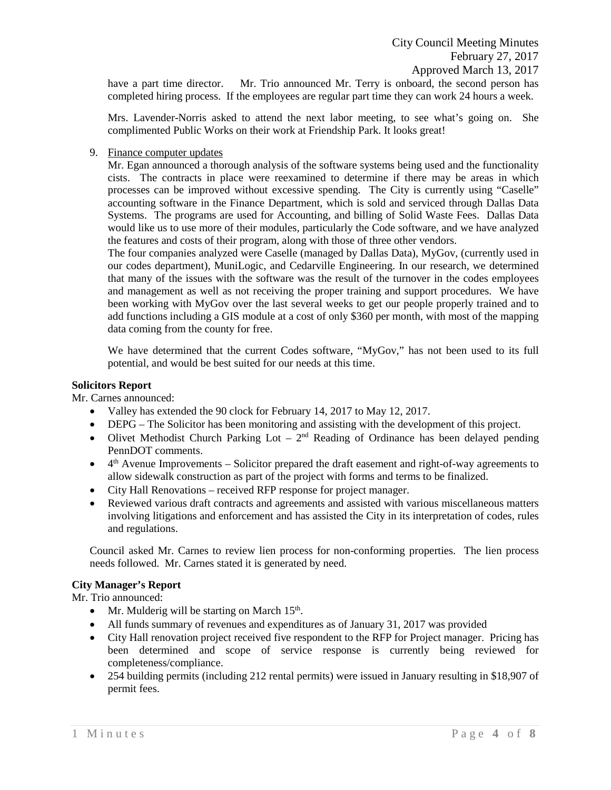have a part time director. Mr. Trio announced Mr. Terry is onboard, the second person has completed hiring process. If the employees are regular part time they can work 24 hours a week.

Mrs. Lavender-Norris asked to attend the next labor meeting, to see what's going on. She complimented Public Works on their work at Friendship Park. It looks great!

9. Finance computer updates

Mr. Egan announced a thorough analysis of the software systems being used and the functionality cists. The contracts in place were reexamined to determine if there may be areas in which processes can be improved without excessive spending. The City is currently using "Caselle" accounting software in the Finance Department, which is sold and serviced through Dallas Data Systems. The programs are used for Accounting, and billing of Solid Waste Fees. Dallas Data would like us to use more of their modules, particularly the Code software, and we have analyzed the features and costs of their program, along with those of three other vendors.

The four companies analyzed were Caselle (managed by Dallas Data), MyGov, (currently used in our codes department), MuniLogic, and Cedarville Engineering. In our research, we determined that many of the issues with the software was the result of the turnover in the codes employees and management as well as not receiving the proper training and support procedures. We have been working with MyGov over the last several weeks to get our people properly trained and to add functions including a GIS module at a cost of only \$360 per month, with most of the mapping data coming from the county for free.

We have determined that the current Codes software, "MyGov," has not been used to its full potential, and would be best suited for our needs at this time.

## **Solicitors Report**

Mr. Carnes announced:

- Valley has extended the 90 clock for February 14, 2017 to May 12, 2017.
- DEPG The Solicitor has been monitoring and assisting with the development of this project.
- Olivet Methodist Church Parking Lot  $-2^{nd}$  Reading of Ordinance has been delayed pending PennDOT comments.
- $\bullet$  4<sup>th</sup> Avenue Improvements Solicitor prepared the draft easement and right-of-way agreements to allow sidewalk construction as part of the project with forms and terms to be finalized.
- City Hall Renovations received RFP response for project manager.
- Reviewed various draft contracts and agreements and assisted with various miscellaneous matters involving litigations and enforcement and has assisted the City in its interpretation of codes, rules and regulations.

Council asked Mr. Carnes to review lien process for non-conforming properties. The lien process needs followed. Mr. Carnes stated it is generated by need.

## **City Manager's Report**

Mr. Trio announced:

- Mr. Mulderig will be starting on March  $15<sup>th</sup>$ .
- All funds summary of revenues and expenditures as of January 31, 2017 was provided
- City Hall renovation project received five respondent to the RFP for Project manager. Pricing has been determined and scope of service response is currently being reviewed for completeness/compliance.
- 254 building permits (including 212 rental permits) were issued in January resulting in \$18,907 of permit fees.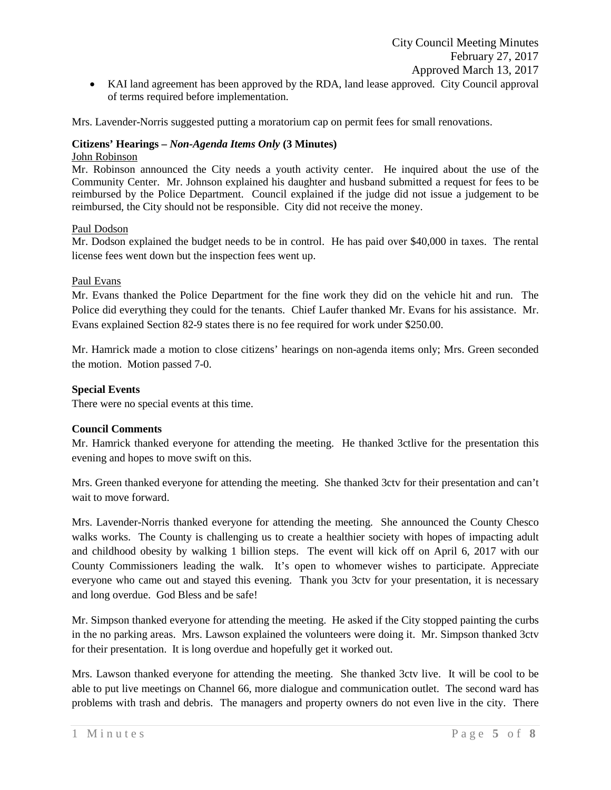of terms required before implementation.

Mrs. Lavender-Norris suggested putting a moratorium cap on permit fees for small renovations.

## **Citizens' Hearings –** *Non-Agenda Items Only* **(3 Minutes)**

## John Robinson

Mr. Robinson announced the City needs a youth activity center. He inquired about the use of the Community Center. Mr. Johnson explained his daughter and husband submitted a request for fees to be reimbursed by the Police Department. Council explained if the judge did not issue a judgement to be reimbursed, the City should not be responsible. City did not receive the money.

## Paul Dodson

Mr. Dodson explained the budget needs to be in control. He has paid over \$40,000 in taxes. The rental license fees went down but the inspection fees went up.

## Paul Evans

Mr. Evans thanked the Police Department for the fine work they did on the vehicle hit and run. The Police did everything they could for the tenants. Chief Laufer thanked Mr. Evans for his assistance. Mr. Evans explained Section 82-9 states there is no fee required for work under \$250.00.

Mr. Hamrick made a motion to close citizens' hearings on non-agenda items only; Mrs. Green seconded the motion. Motion passed 7-0.

## **Special Events**

There were no special events at this time.

## **Council Comments**

Mr. Hamrick thanked everyone for attending the meeting. He thanked 3ctlive for the presentation this evening and hopes to move swift on this.

Mrs. Green thanked everyone for attending the meeting. She thanked 3ctv for their presentation and can't wait to move forward.

Mrs. Lavender-Norris thanked everyone for attending the meeting. She announced the County Chesco walks works. The County is challenging us to create a healthier society with hopes of impacting adult and childhood obesity by walking 1 billion steps. The event will kick off on April 6, 2017 with our County Commissioners leading the walk. It's open to whomever wishes to participate. Appreciate everyone who came out and stayed this evening. Thank you 3ctv for your presentation, it is necessary and long overdue. God Bless and be safe!

Mr. Simpson thanked everyone for attending the meeting. He asked if the City stopped painting the curbs in the no parking areas. Mrs. Lawson explained the volunteers were doing it. Mr. Simpson thanked 3ctv for their presentation. It is long overdue and hopefully get it worked out.

Mrs. Lawson thanked everyone for attending the meeting. She thanked 3ctv live. It will be cool to be able to put live meetings on Channel 66, more dialogue and communication outlet. The second ward has problems with trash and debris. The managers and property owners do not even live in the city. There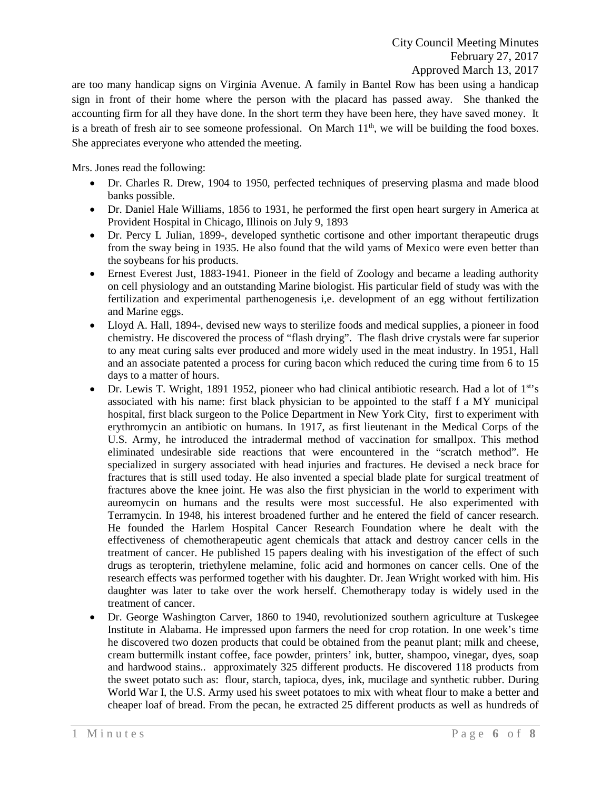are too many handicap signs on Virginia Avenue. A family in Bantel Row has been using a handicap sign in front of their home where the person with the placard has passed away. She thanked the accounting firm for all they have done. In the short term they have been here, they have saved money. It is a breath of fresh air to see someone professional. On March  $11<sup>th</sup>$ , we will be building the food boxes. She appreciates everyone who attended the meeting.

Mrs. Jones read the following:

- Dr. Charles R. Drew, 1904 to 1950, perfected techniques of preserving plasma and made blood banks possible.
- Dr. Daniel Hale Williams, 1856 to 1931, he performed the first open heart surgery in America at Provident Hospital in Chicago, Illinois on July 9, 1893
- Dr. Percy L Julian, 1899-, developed synthetic cortisone and other important therapeutic drugs from the sway being in 1935. He also found that the wild yams of Mexico were even better than the soybeans for his products.
- Ernest Everest Just, 1883-1941. Pioneer in the field of Zoology and became a leading authority on cell physiology and an outstanding Marine biologist. His particular field of study was with the fertilization and experimental parthenogenesis i,e. development of an egg without fertilization and Marine eggs.
- Lloyd A. Hall, 1894-, devised new ways to sterilize foods and medical supplies, a pioneer in food chemistry. He discovered the process of "flash drying". The flash drive crystals were far superior to any meat curing salts ever produced and more widely used in the meat industry. In 1951, Hall and an associate patented a process for curing bacon which reduced the curing time from 6 to 15 days to a matter of hours.
- Dr. Lewis T. Wright, 1891 1952, pioneer who had clinical antibiotic research. Had a lot of  $1<sup>st</sup>$ s associated with his name: first black physician to be appointed to the staff f a MY municipal hospital, first black surgeon to the Police Department in New York City, first to experiment with erythromycin an antibiotic on humans. In 1917, as first lieutenant in the Medical Corps of the U.S. Army, he introduced the intradermal method of vaccination for smallpox. This method eliminated undesirable side reactions that were encountered in the "scratch method". He specialized in surgery associated with head injuries and fractures. He devised a neck brace for fractures that is still used today. He also invented a special blade plate for surgical treatment of fractures above the knee joint. He was also the first physician in the world to experiment with aureomycin on humans and the results were most successful. He also experimented with Terramycin. In 1948, his interest broadened further and he entered the field of cancer research. He founded the Harlem Hospital Cancer Research Foundation where he dealt with the effectiveness of chemotherapeutic agent chemicals that attack and destroy cancer cells in the treatment of cancer. He published 15 papers dealing with his investigation of the effect of such drugs as teropterin, triethylene melamine, folic acid and hormones on cancer cells. One of the research effects was performed together with his daughter. Dr. Jean Wright worked with him. His daughter was later to take over the work herself. Chemotherapy today is widely used in the treatment of cancer.
- Dr. George Washington Carver, 1860 to 1940, revolutionized southern agriculture at Tuskegee Institute in Alabama. He impressed upon farmers the need for crop rotation. In one week's time he discovered two dozen products that could be obtained from the peanut plant; milk and cheese, cream buttermilk instant coffee, face powder, printers' ink, butter, shampoo, vinegar, dyes, soap and hardwood stains.. approximately 325 different products. He discovered 118 products from the sweet potato such as: flour, starch, tapioca, dyes, ink, mucilage and synthetic rubber. During World War I, the U.S. Army used his sweet potatoes to mix with wheat flour to make a better and cheaper loaf of bread. From the pecan, he extracted 25 different products as well as hundreds of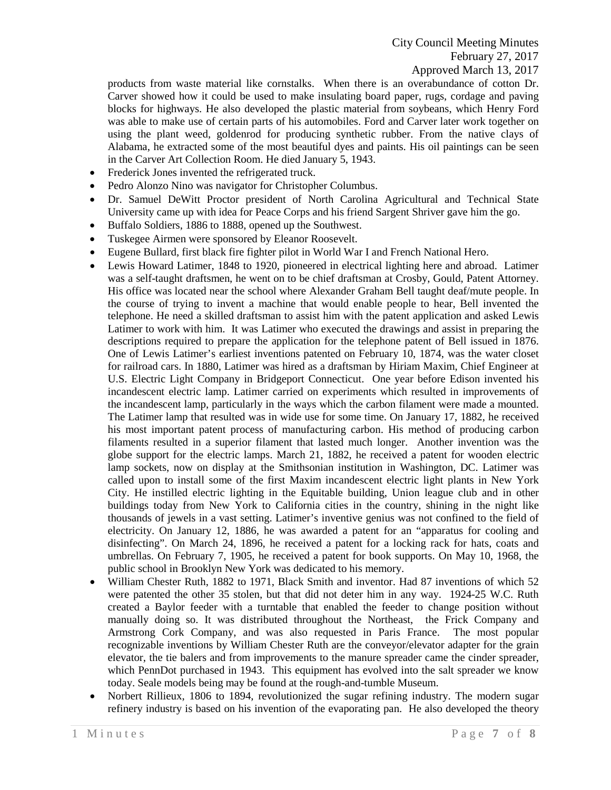products from waste material like cornstalks. When there is an overabundance of cotton Dr. Carver showed how it could be used to make insulating board paper, rugs, cordage and paving blocks for highways. He also developed the plastic material from soybeans, which Henry Ford was able to make use of certain parts of his automobiles. Ford and Carver later work together on using the plant weed, goldenrod for producing synthetic rubber. From the native clays of Alabama, he extracted some of the most beautiful dyes and paints. His oil paintings can be seen in the Carver Art Collection Room. He died January 5, 1943.

- Frederick Jones invented the refrigerated truck.
- Pedro Alonzo Nino was navigator for Christopher Columbus.
- Dr. Samuel DeWitt Proctor president of North Carolina Agricultural and Technical State University came up with idea for Peace Corps and his friend Sargent Shriver gave him the go.
- Buffalo Soldiers, 1886 to 1888, opened up the Southwest.
- Tuskegee Airmen were sponsored by Eleanor Roosevelt.
- Eugene Bullard, first black fire fighter pilot in World War I and French National Hero.
- Lewis Howard Latimer, 1848 to 1920, pioneered in electrical lighting here and abroad. Latimer was a self-taught draftsmen, he went on to be chief draftsman at Crosby, Gould, Patent Attorney. His office was located near the school where Alexander Graham Bell taught deaf/mute people. In the course of trying to invent a machine that would enable people to hear, Bell invented the telephone. He need a skilled draftsman to assist him with the patent application and asked Lewis Latimer to work with him. It was Latimer who executed the drawings and assist in preparing the descriptions required to prepare the application for the telephone patent of Bell issued in 1876. One of Lewis Latimer's earliest inventions patented on February 10, 1874, was the water closet for railroad cars. In 1880, Latimer was hired as a draftsman by Hiriam Maxim, Chief Engineer at U.S. Electric Light Company in Bridgeport Connecticut. One year before Edison invented his incandescent electric lamp. Latimer carried on experiments which resulted in improvements of the incandescent lamp, particularly in the ways which the carbon filament were made a mounted. The Latimer lamp that resulted was in wide use for some time. On January 17, 1882, he received his most important patent process of manufacturing carbon. His method of producing carbon filaments resulted in a superior filament that lasted much longer. Another invention was the globe support for the electric lamps. March 21, 1882, he received a patent for wooden electric lamp sockets, now on display at the Smithsonian institution in Washington, DC. Latimer was called upon to install some of the first Maxim incandescent electric light plants in New York City. He instilled electric lighting in the Equitable building, Union league club and in other buildings today from New York to California cities in the country, shining in the night like thousands of jewels in a vast setting. Latimer's inventive genius was not confined to the field of electricity. On January 12, 1886, he was awarded a patent for an "apparatus for cooling and disinfecting". On March 24, 1896, he received a patent for a locking rack for hats, coats and umbrellas. On February 7, 1905, he received a patent for book supports. On May 10, 1968, the public school in Brooklyn New York was dedicated to his memory.
- William Chester Ruth, 1882 to 1971, Black Smith and inventor. Had 87 inventions of which 52 were patented the other 35 stolen, but that did not deter him in any way. 1924-25 W.C. Ruth created a Baylor feeder with a turntable that enabled the feeder to change position without manually doing so. It was distributed throughout the Northeast, the Frick Company and Armstrong Cork Company, and was also requested in Paris France. The most popular recognizable inventions by William Chester Ruth are the conveyor/elevator adapter for the grain elevator, the tie balers and from improvements to the manure spreader came the cinder spreader, which PennDot purchased in 1943. This equipment has evolved into the salt spreader we know today. Seale models being may be found at the rough-and-tumble Museum.
- Norbert Rillieux, 1806 to 1894, revolutionized the sugar refining industry. The modern sugar refinery industry is based on his invention of the evaporating pan. He also developed the theory